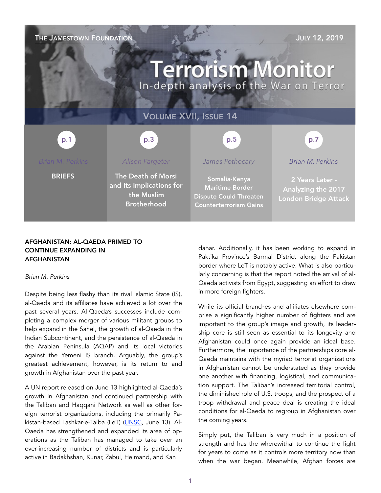**THE JAMESTOWN FOUNDATION THE JAMESTOWN FOUNDATION Terrorism Monitor** In-depth analysis of the War on Terror VOLUME XVII, ISSUE 14 p.3 p.1 p.5 p.7*Brian M. Perkins Brian M. Perkins Alison Pargeter James Pothecary*  **BRIEFS** The Death of Morsi Somalia-Kenya 2 Years Later and Its Implications for Maritime Border Analyzing the 2017 the Muslim Dispute Could Threaten London Bridge Attack Brotherhood Counterterrorism Gains

# AFGHANISTAN: AL-QAEDA PRIMED TO CONTINUE EXPANDING IN AFGHANISTAN

## *Brian M. Perkins*

Despite being less flashy than its rival Islamic State (IS), al-Qaeda and its affiliates have achieved a lot over the past several years. Al-Qaeda's successes include completing a complex merger of various militant groups to help expand in the Sahel, the growth of al-Qaeda in the Indian Subcontinent, and the persistence of al-Qaeda in the Arabian Peninsula (AQAP) and its local victories against the Yemeni IS branch. Arguably, the group's greatest achievement, however, is its return to and growth in Afghanistan over the past year.

A UN report released on June 13 highlighted al-Qaeda's growth in Afghanistan and continued partnership with the Taliban and Haqqani Network as well as other foreign terrorist organizations, including the primarily Pakistan-based Lashkar-e-Taiba (LeT) (UNSC, June 13). Al-Qaeda has strengthened and expanded its area of operations as the Taliban has managed to take over an ever-increasing number of districts and is particularly active in Badakhshan, Kunar, Zabul, Helmand, and Kan

dahar. Additionally, it has been working to expand in Paktika Province's Barmal District along the Pakistan border where LeT is notably active. What is also particularly concerning is that the report noted the arrival of al-Qaeda activists from Egypt, suggesting an effort to draw in more foreign fighters.

While its official branches and affiliates elsewhere comprise a significantly higher number of fighters and are important to the group's image and growth, its leadership core is still seen as essential to its longevity and Afghanistan could once again provide an ideal base. Furthermore, the importance of the partnerships core al-Qaeda maintains with the myriad terrorist organizations in Afghanistan cannot be understated as they provide one another with financing, logistical, and communication support. The Taliban's increased territorial control, the diminished role of U.S. troops, and the prospect of a troop withdrawal and peace deal is creating the ideal conditions for al-Qaeda to regroup in Afghanistan over the coming years.

Simply put, the Taliban is very much in a position of strength and has the wherewithal to continue the fight for years to come as it controls more territory now than when the war began. Meanwhile, Afghan forces are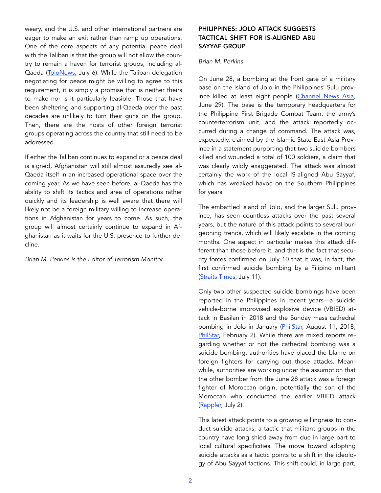weary, and the U.S. and other international partners are eager to make an exit rather than ramp up operations. One of the core aspects of any potential peace deal with the Taliban is that the group will not allow the country to remain a haven for terrorist groups, including al-Qaeda ([ToloNews](https://www.tolonews.com/index.php/afghanistan/taliban-us-rewriting-draft-agreement-doha-talks-reports), July 6). While the Taliban delegation negotiating for peace might be willing to agree to this requirement, it is simply a promise that is neither theirs to make nor is it particularly feasible. Those that have been sheltering and supporting al-Qaeda over the past decades are unlikely to turn their guns on the group. Then, there are the hosts of other foreign terrorist groups operating across the country that still need to be addressed.

If either the Taliban continues to expand or a peace deal is signed, Afghanistan will still almost assuredly see al-Qaeda itself in an increased operational space over the coming year. As we have seen before, al-Qaeda has the ability to shift its tactics and area of operations rather quickly and its leadership is well aware that there will likely not be a foreign military willing to increase operations in Afghanistan for years to come. As such, the group will almost certainly continue to expand in Afghanistan as it waits for the U.S. presence to further decline.

*Brian M. Perkins is the Editor of Terrorism Monitor* 

# PHILIPPINES: JOLO ATTACK SUGGESTS TACTICAL SHIFT FOR IS-ALIGNED ABU SAYYAF GROUP

# *Brian M. Perkins*

On June 28, a bombing at the front gate of a military base on the island of Jolo in the Philippines' Sulu province killed at least eight people ([Channel News Asia,](https://www.channelnewsasia.com/news/asia/philippine-army-says-attack-on-base-likely-a-suicide-bombing-11673046) June 29). The base is the temporary headquarters for the Philippine First Brigade Combat Team, the army's counterterrorism unit, and the attack reportedly occurred during a change of command. The attack was, expectedly, claimed by the Islamic State East Asia Province in a statement purporting that two suicide bombers killed and wounded a total of 100 soldiers, a claim that was clearly wildly exaggerated. The attack was almost certainly the work of the local IS-aligned Abu Sayyaf, which has wreaked havoc on the Southern Philippines for years.

The embattled island of Jolo, and the larger Sulu province, has seen countless attacks over the past several years, but the nature of this attack points to several burgeoning trends, which will likely escalate in the coming months. One aspect in particular makes this attack different than those before it, and that is the fact that security forces confirmed on July 10 that it was, in fact, the first confirmed suicide bombing by a Filipino militant (Straits Times, July 11).

Only two other suspected suicide bombings have been reported in the Philippines in recent years—a suicide vehicle-borne improvised explosive device (VBIED) attack in Basilan in 2018 and the Sunday mass cathedral bombing in Jolo in January (PhilStar, August 11, 2018; [PhilStar,](https://www.philstar.com/headlines/2019/02/02/1890261/afp-not-ruling-out-suicide-bombers-jolo-cathedral-blasts) February 2). While there are mixed reports regarding whether or not the cathedral bombing was a suicide bombing, authorities have placed the blame on foreign fighters for carrying out those attacks. Meanwhile, authorities are working under the assumption that the other bomber from the June 28 attack was a foreign fighter of Moroccan origin, potentially the son of the Moroccan who conducted the earlier VBIED attack ([Rappler,](https://www.rappler.com/nation/234432-philippine-military-suspects-indanan-attack) July 2).

This latest attack points to a growing willingness to conduct suicide attacks, a tactic that militant groups in the country have long shied away from due in large part to local cultural specificities. The move toward adopting suicide attacks as a tactic points to a shift in the ideology of Abu Sayyaf factions. This shift could, in large part,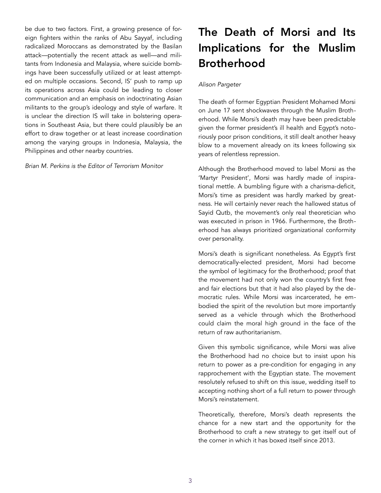be due to two factors. First, a growing presence of foreign fighters within the ranks of Abu Sayyaf, including radicalized Moroccans as demonstrated by the Basilan attack—potentially the recent attack as well—and militants from Indonesia and Malaysia, where suicide bombings have been successfully utilized or at least attempted on multiple occasions. Second, IS' push to ramp up its operations across Asia could be leading to closer communication and an emphasis on indoctrinating Asian militants to the group's ideology and style of warfare. It is unclear the direction IS will take in bolstering operations in Southeast Asia, but there could plausibly be an effort to draw together or at least increase coordination among the varying groups in Indonesia, Malaysia, the Philippines and other nearby countries.

*Brian M. Perkins is the Editor of Terrorism Monitor* 

# The Death of Morsi and Its Implications for the Muslim Brotherhood

# *Alison Pargeter*

The death of former Egyptian President Mohamed Morsi on June 17 sent shockwaves through the Muslim Brotherhood. While Morsi's death may have been predictable given the former president's ill health and Egypt's notoriously poor prison conditions, it still dealt another heavy blow to a movement already on its knees following six years of relentless repression.

Although the Brotherhood moved to label Morsi as the 'Martyr President', Morsi was hardly made of inspirational mettle. A bumbling figure with a charisma-deficit, Morsi's time as president was hardly marked by greatness. He will certainly never reach the hallowed status of Sayid Qutb, the movement's only real theoretician who was executed in prison in 1966. Furthermore, the Brotherhood has always prioritized organizational conformity over personality.

Morsi's death is significant nonetheless. As Egypt's first democratically-elected president, Morsi had become *the* symbol of legitimacy for the Brotherhood; proof that the movement had not only won the country's first free and fair elections but that it had also played by the democratic rules. While Morsi was incarcerated, he embodied the spirit of the revolution but more importantly served as a vehicle through which the Brotherhood could claim the moral high ground in the face of the return of raw authoritarianism.

Given this symbolic significance, while Morsi was alive the Brotherhood had no choice but to insist upon his return to power as a pre-condition for engaging in any rapprochement with the Egyptian state. The movement resolutely refused to shift on this issue, wedding itself to accepting nothing short of a full return to power through Morsi's reinstatement.

Theoretically, therefore, Morsi's death represents the chance for a new start and the opportunity for the Brotherhood to craft a new strategy to get itself out of the corner in which it has boxed itself since 2013.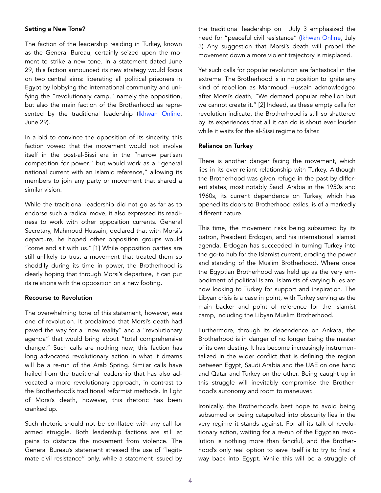### Setting a New Tone?

The faction of the leadership residing in Turkey, known as the General Bureau, certainly seized upon the moment to strike a new tone. In a statement dated June 29, this faction announced its new strategy would focus on two central aims: liberating all political prisoners in Egypt by lobbying the international community and unifying the "revolutionary camp," namely the opposition, but also the main faction of the Brotherhood as repre-sented by the traditional leadership ([Ikhwan Online,](https://ikhwanonline.info/) June 29).

In a bid to convince the opposition of its sincerity, this faction vowed that the movement would not involve itself in the post-al-Sissi era in the "narrow partisan competition for power," but would work as a "general national current with an Islamic reference," allowing its members to join any party or movement that shared a similar vision.

While the traditional leadership did not go as far as to endorse such a radical move, it also expressed its readiness to work with other opposition currents. General Secretary, Mahmoud Hussain, declared that with Morsi's departure, he hoped other opposition groups would "come and sit with us." [1] While opposition parties are still unlikely to trust a movement that treated them so shoddily during its time in power, the Brotherhood is clearly hoping that through Morsi's departure, it can put its relations with the opposition on a new footing.

# Recourse to Revolution

The overwhelming tone of this statement, however, was one of revolution. It proclaimed that Morsi's death had paved the way for a "new reality" and a "revolutionary agenda" that would bring about "total comprehensive change." Such calls are nothing new; this faction has long advocated revolutionary action in what it dreams will be a re-run of the Arab Spring. Similar calls have hailed from the traditional leadership that has also advocated a more revolutionary approach, in contrast to the Brotherhood's traditional reformist methods. In light of Morsi's death, however, this rhetoric has been cranked up.

Such rhetoric should not be conflated with any call for armed struggle. Both leadership factions are still at pains to distance the movement from violence. The General Bureau's statement stressed the use of "legitimate civil resistance" only, while a statement issued by the traditional leadership on July 3 emphasized the need for "peaceful civil resistance" ([Ikhwan Online,](https://www.ikhwanonline.com/official_statements/236207/Default.aspx) July 3) Any suggestion that Morsi's death will propel the movement down a more violent trajectory is misplaced.

Yet such calls for popular revolution are fantastical in the extreme. The Brotherhood is in no position to ignite any kind of rebellion as Mahmoud Hussain acknowledged after Morsi's death, "We demand popular rebellion but we cannot create it." [2] Indeed, as these empty calls for revolution indicate, the Brotherhood is still so shattered by its experiences that all it can do is shout ever louder while it waits for the al-Sissi regime to falter.

#### Reliance on Turkey

There is another danger facing the movement, which lies in its ever-reliant relationship with Turkey. Although the Brotherhood was given refuge in the past by different states, most notably Saudi Arabia in the 1950s and 1960s, its current dependence on Turkey, which has opened its doors to Brotherhood exiles, is of a markedly different nature.

This time, the movement risks being subsumed by its patron, President Erdogan, and his international Islamist agenda. Erdogan has succeeded in turning Turkey into the go-to hub for the Islamist current, eroding the power and standing of the Muslim Brotherhood. Where once the Egyptian Brotherhood was held up as the very embodiment of political Islam, Islamists of varying hues are now looking to Turkey for support and inspiration. The Libyan crisis is a case in point, with Turkey serving as the main backer and point of reference for the Islamist camp, including the Libyan Muslim Brotherhood.

Furthermore, through its dependence on Ankara, the Brotherhood is in danger of no longer being the master of its own destiny. It has become increasingly instrumentalized in the wider conflict that is defining the region between Egypt, Saudi Arabia and the UAE on one hand and Qatar and Turkey on the other. Being caught up in this struggle will inevitably compromise the Brotherhood's autonomy and room to maneuver.

Ironically, the Brotherhood's best hope to avoid being subsumed or being catapulted into obscurity lies in the very regime it stands against. For all its talk of revolutionary action, waiting for a re-run of the Egyptian revolution is nothing more than fanciful, and the Brotherhood's only real option to save itself is to try to find a way back into Egypt. While this will be a struggle of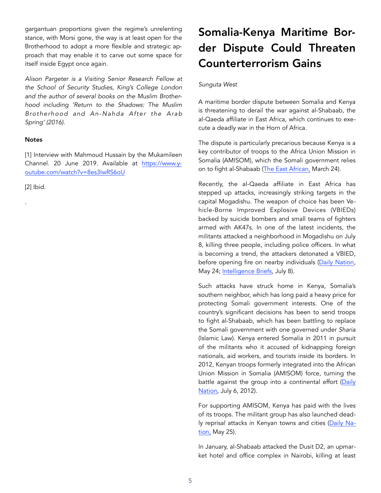gargantuan proportions given the regime's unrelenting stance, with Morsi gone, the way is at least open for the Brotherhood to adopt a more flexible and strategic approach that may enable it to carve out some space for itself inside Egypt once again.

*Alison Pargeter is a Visiting Senior Research Fellow at the School of Security Studies, King's College London and the author of several books on the Muslim Brotherhood including ['Return to the Shadows: The Muslim](https://www.amazon.com/Return-Shadows-Muslim-Brotherhood-Nahda/dp/0863561446/)  [Brotherhood and An-Nahda After the Arab](https://www.amazon.com/Return-Shadows-Muslim-Brotherhood-Nahda/dp/0863561446/)  [Spring'](https://www.amazon.com/Return-Shadows-Muslim-Brotherhood-Nahda/dp/0863561446/) (2016).* 

# **Notes**

[1] Interview with Mahmoud Hussain by the Mukamileen Channel. 20 June 2019. Available at [https://www.y](https://www.youtube.com/watch?v=8es3IwRS6oU)[outube.com/watch?v=8es3IwRS6oU](https://www.youtube.com/watch?v=8es3IwRS6oU) 

[2] Ibid.

.

# Somalia-Kenya Maritime Border Dispute Could Threaten Counterterrorism Gains

# *Sunguta West*

A maritime border dispute between Somalia and Kenya is threatening to derail the war against al-Shabaab, the al-Qaeda affiliate in East Africa, which continues to execute a deadly war in the Horn of Africa.

The dispute is particularly precarious because Kenya is a key contributor of troops to the Africa Union Mission in Somalia (AMISOM), which the Somali government relies on to fight al-Shabaab ([The East African,](https://www.theeastafrican.co.ke/news/ea/Somalia-Troop-drawdown-risks-reversal-of-Amisom-gains-/45529) March 24).

Recently, the al-Qaeda affiliate in East Africa has stepped up attacks, increasingly striking targets in the capital Mogadishu. The weapon of choice has been Vehicle-Borne Improved Explosive Devices (VBIEDs) backed by suicide bombers and small teams of fighters armed with AK47s. In one of the latest incidents, the militants attacked a neighborhood in Mogadishu on July 8, killing three people, including police officers. In what is becoming a trend, the attackers detonated a VBIED, before opening fire on nearby individuals ([Daily Nation,](https://www.nation.co.ke/news/Impact-US-airstrikes-Al-Shabaab/1056-5129770-9frkdw/index.html) May 24; [Intelligence Briefs,](https://intelligencebriefs.com/2-) July 8).

Such attacks have struck home in Kenya, Somalia's southern neighbor, which has long paid a heavy price for protecting Somali government interests. One of the country's significant decisions has been to send troops to fight al-Shabaab, which has been battling to replace the Somali government with one governed under *Sharia*  (Islamic Law). Kenya entered Somalia in 2011 in pursuit of the militants who it accused of kidnapping foreign nationals, aid workers, and tourists inside its borders. In 2012, Kenyan troops formerly integrated into the African Union Mission in Somalia (AMISOM) force, turning the battle against the group into a continental effort (Daily Nation, July 6, 2012).

For supporting AMISOM, Kenya has paid with the lives of its troops. The militant group has also launched deadly reprisal attacks in Kenyan towns and cities ([Daily Na](https://www.nation.co.ke/oped/editorial/End-maritime-border-dispute-with-Somalia/440804-5130612-ie3q7mz/index.html)[tion,](https://www.nation.co.ke/oped/editorial/End-maritime-border-dispute-with-Somalia/440804-5130612-ie3q7mz/index.html) May 25).

In January, al-Shabaab attacked the Dusit D2, an upmarket hotel and office complex in Nairobi, killing at least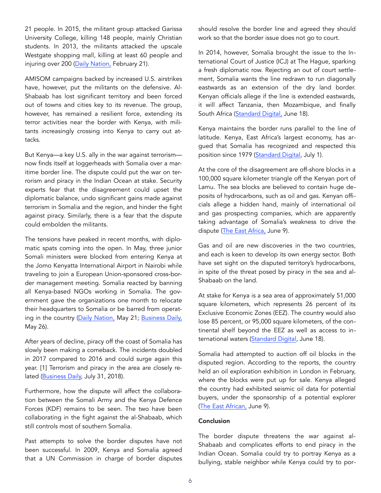21 people. In 2015, the militant group attacked Garissa University College, killing 148 people, mainly Christian students. In 2013, the militants attacked the upscale Westgate shopping mall, killing at least 60 people and injuring over 200 ([Daily Nation,](https://www.nation.co.ke/news/Dusit-attack-Nairobi-Al-Shabaab-recruits/1056-4991926-14pm3ikz/index.html) February 21).

AMISOM campaigns backed by increased U.S. airstrikes have, however, put the militants on the defensive. Al-Shabaab has lost significant territory and been forced out of towns and cities key to its revenue. The group, however, has remained a resilient force, extending its terror activities near the border with Kenya, with militants increasingly crossing into Kenya to carry out attacks.

But Kenya—a key U.S. ally in the war against terrorism now finds itself at loggerheads with Somalia over a maritime border line. The dispute could put the war on terrorism and piracy in the Indian Ocean at stake. Security experts fear that the disagreement could upset the diplomatic balance, undo significant gains made against terrorism in Somalia and the region, and hinder the fight against piracy. Similarly, there is a fear that the dispute could embolden the militants.

The tensions have peaked in recent months, with diplomatic spats coming into the open. In May, three junior Somali ministers were blocked from entering Kenya at the Jomo Kenyatta International Airport in Nairobi while traveling to join a European Union-sponsored cross-border management meeting. Somalia reacted by banning all Kenya-based NGOs working in Somalia. The government gave the organizations one month to relocate their headquarters to Somalia or be barred from operating in the country ([Daily Nation,](https://www.nation.co.ke/news/Kenya-denies-3-Somalia-government-officials-entry/1056-5124274-uy11auz/index.html) May 21; [Business Daily,](https://www.businessdailyafrica.com/economy/Somalia-bars-officials-from-Nai) May 26).

After years of decline, piracy off the coast of Somalia has slowly been making a comeback. The incidents doubled in 2017 compared to 2016 and could surge again this year. [1] Terrorism and piracy in the area are closely re-lated ([Business Daily,](https://www.businessdailyafrica.com/corporate/shipping/War-on-Indian-Ocean-piracy-cost-Sh140-billion-last-year/4003122-4690978-p680v8z/index.html) July 31, 2018).

Furthermore, how the dispute will affect the collaboration between the Somali Army and the Kenya Defence Forces (KDF) remains to be seen. The two have been collaborating in the fight against the al-Shabaab, which still controls most of southern Somalia.

Past attempts to solve the border disputes have not been successful. In 2009, Kenya and Somalia agreed that a UN Commission in charge of border disputes should resolve the border line and agreed they should work so that the border issue does not go to court.

In 2014, however, Somalia brought the issue to the International Court of Justice (ICJ) at The Hague, sparking a fresh diplomatic row. Rejecting an out of court settlement, Somalia wants the line redrawn to run diagonally eastwards as an extension of the dry land border. Kenyan officials allege if the line is extended eastwards, it will affect Tanzania, then Mozambique, and finally South Africa ([Standard Digital,](https://www.standardmedia.co.ke/article/2001330323/kenya-somalia-border-dispute-on-un-agenda) June 18).

Kenya maintains the border runs parallel to the line of latitude. Kenya, East Africa's largest economy, has argued that Somalia has recognized and respected this position since 1979 ([Standard Digital,](https://www.standardmedia.co.ke/article/) July 1).

At the core of the disagreement are off-shore blocks in a 100,000 square kilometer triangle off the Kenyan port of Lamu. The sea blocks are believed to contain huge deposits of hydrocarbons, such as oil and gas. Kenyan officials allege a hidden hand, mainly of international oil and gas prospecting companies, which are apparently taking advantage of Somalia's weakness to drive the dispute (The East Africa, June 9).

Gas and oil are new discoveries in the two countries, and each is keen to develop its own energy sector. Both have set sight on the disputed territory's hydrocarbons, in spite of the threat posed by piracy in the sea and al-Shabaab on the land.

At stake for Kenya is a sea area of approximately 51,000 square kilometers, which represents 26 percent of its Exclusive Economic Zones (EEZ). The country would also lose 85 percent, or 95,000 square kilometers, of the continental shelf beyond the EEZ as well as access to in-ternational waters ([Standard Digital](https://www.standardmedia.co.ke/article/2001330323/kenya-somalia-border-), June 18).

Somalia had attempted to auction off oil blocks in the disputed region. According to the reports, the country held an oil exploration exhibition in London in February, where the blocks were put up for sale. Kenya alleged the country had exhibited seismic oil data for potential buyers, under the sponsorship of a potential explorer ([The East African,](https://www.theeastafrican.co.ke/news/ea/Somalia-puts-contested-oil-block-territory-up-for-auction/4552908-51498) June 9).

## Conclusion

The border dispute threatens the war against al-Shabaab and complicates efforts to end piracy in the Indian Ocean. Somalia could try to portray Kenya as a bullying, stable neighbor while Kenya could try to por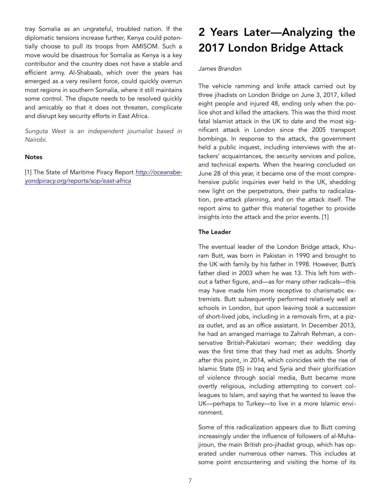tray Somalia as an ungrateful, troubled nation. If the diplomatic tensions increase further, Kenya could potentially choose to pull its troops from AMISOM. Such a move would be disastrous for Somalia as Kenya is a key contributor and the country does not have a stable and efficient army. Al-Shabaab, which over the years has emerged as a very resilient force, could quickly overrun most regions in southern Somalia, where it still maintains some control. The dispute needs to be resolved quickly and amicably so that it does not threaten, complicate and disrupt key security efforts in East Africa.

*Sunguta West is an independent journalist based in Nairobi.* 

#### **Notes**

[1] The State of Maritime Piracy Report *[http://oceansbe](http://oceansbeyondpiracy.org/reports/sop/east-africa)[yondpiracy.org/reports/sop/east-africa](http://oceansbeyondpiracy.org/reports/sop/east-africa)*

# 2 Years Later—Analyzing the 2017 London Bridge Attack

## *James Brandon*

The vehicle ramming and knife attack carried out by three jihadists on London Bridge on June 3, 2017, killed eight people and injured 48, ending only when the police shot and killed the attackers. This was the third most fatal Islamist attack in the UK to date and the most significant attack in London since the 2005 transport bombings. In response to the attack, the government held a public inquest, including interviews with the attackers' acquaintances, the security services and police, and technical experts. When the hearing concluded on June 28 of this year, it became one of the most comprehensive public inquiries ever held in the UK, shedding new light on the perpetrators, their paths to radicalization, pre-attack planning, and on the attack itself. The report aims to gather this material together to provide insights into the attack and the prior events. [1]

#### The Leader

The eventual leader of the London Bridge attack, Khuram Butt, was born in Pakistan in 1990 and brought to the UK with family by his father in 1998. However, Butt's father died in 2003 when he was 13. This left him without a father figure, and—as for many other radicals—this may have made him more receptive to charismatic extremists. Butt subsequently performed relatively well at schools in London, but upon leaving took a succession of short-lived jobs, including in a removals firm, at a pizza outlet, and as an office assistant. In December 2013, he had an arranged marriage to Zahrah Rehman, a conservative British-Pakistani woman; their wedding day was the first time that they had met as adults. Shortly after this point, in 2014, which coincides with the rise of Islamic State (IS) in Iraq and Syria and their glorification of violence through social media, Butt became more overtly religious, including attempting to convert colleagues to Islam, and saying that he wanted to leave the UK—perhaps to Turkey—to live in a more Islamic environment.

Some of this radicalization appears due to Butt coming increasingly under the influence of followers of al-Muhajiroun, the main British pro-jihadist group, which has operated under numerous other names. This includes at some point encountering and visiting the home of its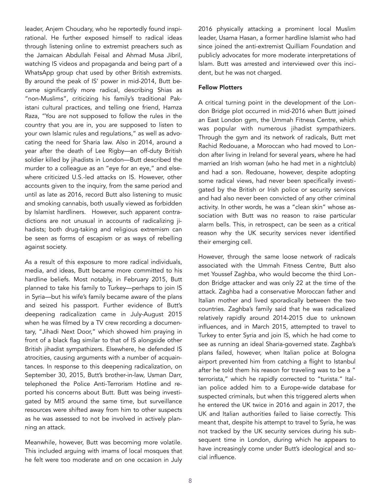leader, Anjem Choudary, who he reportedly found inspirational. He further exposed himself to radical ideas through listening online to extremist preachers such as the Jamaican Abdullah Feisal and Ahmad Musa Jibril, watching IS videos and propaganda and being part of a WhatsApp group chat used by other British extremists. By around the peak of IS' power in mid-2014, Butt became significantly more radical, describing Shias as "non-Muslims", criticizing his family's traditional Pakistani cultural practices, and telling one friend, Hamza Raza, "You are not supposed to follow the rules in the country that you are in, you are supposed to listen to your own Islamic rules and regulations," as well as advocating the need for Sharia law. Also in 2014, around a year after the death of Lee Rigby—an off-duty British soldier killed by jihadists in London—Butt described the murder to a colleague as an "eye for an eye," and elsewhere criticized U.S.-led attacks on IS. However, other accounts given to the inquiry, from the same period and until as late as 2016, record Butt also listening to music and smoking cannabis, both usually viewed as forbidden by Islamist hardliners. However, such apparent contradictions are not unusual in accounts of radicalizing jihadists; both drug-taking and religious extremism can be seen as forms of escapism or as ways of rebelling against society.

As a result of this exposure to more radical individuals, media, and ideas, Butt became more committed to his hardline beliefs. Most notably, in February 2015, Butt planned to take his family to Turkey—perhaps to join IS in Syria—but his wife's family became aware of the plans and seized his passport. Further evidence of Butt's deepening radicalization came in July-August 2015 when he was filmed by a TV crew recording a documentary, "Jihadi Next Door," which showed him praying in front of a black flag similar to that of IS alongside other British jihadist sympathizers. Elsewhere, he defended IS atrocities, causing arguments with a number of acquaintances. In response to this deepening radicalization, on September 30, 2015, Butt's brother-in-law, Usman Darr, telephoned the Police Anti-Terrorism Hotline and reported his concerns about Butt. Butt was being investigated by MI5 around the same time, but surveillance resources were shifted away from him to other suspects as he was assessed to not be involved in actively planning an attack.

Meanwhile, however, Butt was becoming more volatile. This included arguing with imams of local mosques that he felt were too moderate and on one occasion in July 2016 physically attacking a prominent local Muslim leader, Usama Hasan, a former hardline Islamist who had since joined the anti-extremist Quilliam Foundation and publicly advocates for more moderate interpretations of Islam. Butt was arrested and interviewed over this incident, but he was not charged.

# Fellow Plotters

A critical turning point in the development of the London Bridge plot occurred in mid-2016 when Butt joined an East London gym, the Ummah Fitness Centre, which was popular with numerous jihadist sympathizers. Through the gym and its network of radicals, Butt met Rachid Redouane, a Moroccan who had moved to London after living in Ireland for several years, where he had married an Irish woman (who he had met in a nightclub) and had a son. Redouane, however, despite adopting some radical views, had never been specifically investigated by the British or Irish police or security services and had also never been convicted of any other criminal activity. In other words, he was a "clean skin" whose association with Butt was no reason to raise particular alarm bells. This, in retrospect, can be seen as a critical reason why the UK security services never identified their emerging cell.

However, through the same loose network of radicals associated with the Ummah Fitness Centre, Butt also met Youssef Zaghba, who would become the third London Bridge attacker and was only 22 at the time of the attack. Zaghba had a conservative Moroccan father and Italian mother and lived sporadically between the two countries. Zaghba's family said that he was radicalized relatively rapidly around 2014-2015 due to unknown influences, and in March 2015, attempted to travel to Turkey to enter Syria and join IS, which he had come to see as running an ideal Sharia-governed state. Zaghba's plans failed, however, when Italian police at Bologna airport prevented him from catching a flight to Istanbul after he told them his reason for traveling was to be a " terrorista," which he rapidly corrected to "turista." Italian police added him to a Europe-wide database for suspected criminals, but when this triggered alerts when he entered the UK twice in 2016 and again in 2017, the UK and Italian authorities failed to liaise correctly. This meant that, despite his attempt to travel to Syria, he was not tracked by the UK security services during his subsequent time in London, during which he appears to have increasingly come under Butt's ideological and social influence.